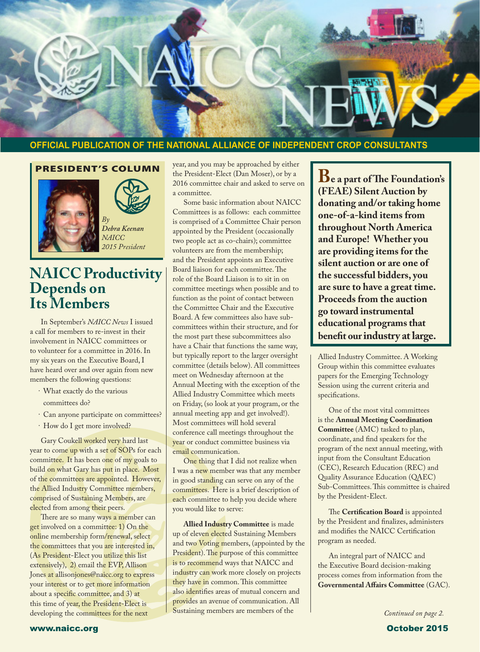

#### **OFFICIAL PUBLICATION OF THE NATIONAL ALLIANCE OF INDEPENDENT CROP CONSULTANTS**

#### PRESIDENT'S COLUMN

 $B<sub>1</sub>$ 





*Debra Keenan NAICC 2015 President*

### **NAICC Productivity Depends on Its Members**

In September's *NAICC News* I issued a call for members to re-invest in their involvement in NAICC committees or to volunteer for a committee in 2016. In my six years on the Executive Board, I have heard over and over again from new members the following questions:

- · What exactly do the various committees do?
- · Can anyone participate on committees?
- · How do I get more involved?

Gary Coukell worked very hard last year to come up with a set of SOPs for each committee. It has been one of my goals to build on what Gary has put in place. Most of the committees are appointed. However, the Allied Industry Committee members, comprised of Sustaining Members, are elected from among their peers.

There are so many ways a member can get involved on a committee: 1) On the online membership form/renewal, select the committees that you are interested in, (As President-Elect you utilize this list extensively), 2) email the EVP, Allison Jones at allisonjones@naicc.org to express your interest or to get more information about a specific committee, and 3) at this time of year, the President-Elect is developing the committees for the next

year, and you may be approached by either the President-Elect (Dan Moser), or by a 2016 committee chair and asked to serve on a committee.

Some basic information about NAICC Committees is as follows: each committee is comprised of a Committee Chair person appointed by the President (occasionally two people act as co-chairs); committee volunteers are from the membership; and the President appoints an Executive Board liaison for each committee. The role of the Board Liaison is to sit in on committee meetings when possible and to function as the point of contact between the Committee Chair and the Executive Board. A few committees also have subcommittees within their structure, and for the most part these subcommittees also have a Chair that functions the same way, but typically report to the larger oversight committee (details below). All committees meet on Wednesday afternoon at the Annual Meeting with the exception of the Allied Industry Committee which meets on Friday, (so look at your program, or the annual meeting app and get involved!). Most committees will hold several conference call meetings throughout the year or conduct committee business via email communication.

One thing that I did not realize when I was a new member was that any member in good standing can serve on any of the committees. Here is a brief description of each committee to help you decide where you would like to serve:

**Allied Industry Committee** is made up of eleven elected Sustaining Members and two Voting members, (appointed by the President). The purpose of this committee is to recommend ways that NAICC and industry can work more closely on projects they have in common. This committee also identifies areas of mutual concern and provides an avenue of communication. All Sustaining members are members of the

**Be a part of The Foundation's (FEAE) Silent Auction by donating and/or taking home one-of-a-kind items from throughout North America and Europe! Whether you are providing items for the silent auction or are one of the successful bidders, you are sure to have a great time. Proceeds from the auction go toward instrumental educational programs that benefit our industry at large.**

Allied Industry Committee. A Working Group within this committee evaluates papers for the Emerging Technology Session using the current criteria and specifications.

One of the most vital committees is the **Annual Meeting Coordination Committee** (AMC) tasked to plan, coordinate, and find speakers for the program of the next annual meeting, with input from the Consultant Education (CEC), Research Education (REC) and Quality Assurance Education (QAEC) Sub-Committees. This committee is chaired by the President-Elect.

The **Certification Board** is appointed by the President and finalizes, administers and modifies the NAICC Certification program as needed.

An integral part of NAICC and the Executive Board decision-making process comes from information from the **Governmental Affairs Committee** (GAC).

*Continued on page 2.*

www.naicc.org October 2015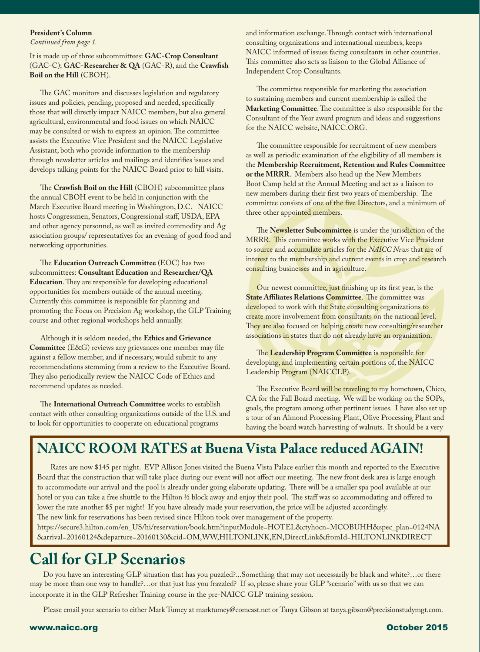#### **President's Column**

*Continued from page 1.*

It is made up of three subcommittees: **GAC-Crop Consultant** (GAC-C); **GAC-Researcher & QA** (GAC-R), and the **Crawfish Boil on the Hill** (CBOH).

The GAC monitors and discusses legislation and regulatory issues and policies, pending, proposed and needed, specifically those that will directly impact NAICC members, but also general agricultural, environmental and food issues on which NAICC may be consulted or wish to express an opinion. The committee assists the Executive Vice President and the NAICC Legislative Assistant, both who provide information to the membership through newsletter articles and mailings and identifies issues and develops talking points for the NAICC Board prior to hill visits.

The **Crawfish Boil on the Hill** (CBOH) subcommittee plans the annual CBOH event to be held in conjunction with the March Executive Board meeting in Washington, D.C. NAICC hosts Congressmen, Senators, Congressional staff, USDA, EPA and other agency personnel, as well as invited commodity and Ag association groups/ representatives for an evening of good food and networking opportunities.

The **Education Outreach Committee** (EOC) has two subcommittees: **Consultant Education** and **Researcher/QA Education**. They are responsible for developing educational opportunities for members outside of the annual meeting. Currently this committee is responsible for planning and promoting the Focus on Precision Ag workshop, the GLP Training course and other regional workshops held annually.

Although it is seldom needed, the **Ethics and Grievance Committee** (E&G) reviews any grievances one member may file against a fellow member, and if necessary, would submit to any recommendations stemming from a review to the Executive Board. They also periodically review the NAICC Code of Ethics and recommend updates as needed.

The **International Outreach Committee** works to establish contact with other consulting organizations outside of the U.S. and to look for opportunities to cooperate on educational programs

and information exchange. Through contact with international consulting organizations and international members, keeps NAICC informed of issues facing consultants in other countries. This committee also acts as liaison to the Global Alliance of Independent Crop Consultants.

The committee responsible for marketing the association to sustaining members and current membership is called the **Marketing Committee**. The committee is also responsible for the Consultant of the Year award program and ideas and suggestions for the NAICC website, NAICC.ORG.

The committee responsible for recruitment of new members as well as periodic examination of the eligibility of all members is the **Membership Recruitment, Retention and Rules Committee or the MRRR**. Members also head up the New Members Boot Camp held at the Annual Meeting and act as a liaison to new members during their first two years of membership. The committee consists of one of the five Directors, and a minimum of three other appointed members.

The **Newsletter Subcommittee** is under the jurisdiction of the MRRR. This committee works with the Executive Vice President to source and accumulate articles for the *NAICC News* that are of interest to the membership and current events in crop and research consulting businesses and in agriculture.

Our newest committee, just finishing up its first year, is the **State Affiliates Relations Committee.** The committee was developed to work with the State consulting organizations to create more involvement from consultants on the national level. They are also focused on helping create new consulting/researcher associations in states that do not already have an organization.

The **Leadership Program Committee** is responsible for developing, and implementing certain portions of, the NAICC Leadership Program (NAICCLP).

The Executive Board will be traveling to my hometown, Chico, CA for the Fall Board meeting. We will be working on the SOPs, goals, the program among other pertinent issues. I have also set up a tour of an Almond Processing Plant, Olive Processing Plant and having the board watch harvesting of walnuts. It should be a very

### **NAICC ROOM RATES at Buena Vista Palace reduced AGAIN!**

Rates are now \$145 per night. EVP Allison Jones visited the Buena Vista Palace earlier this month and reported to the Executive Board that the construction that will take place during our event will not affect our meeting. The new front desk area is large enough to accommodate our arrival and the pool is already under going elaborate updating. There will be a smaller spa pool available at our hotel or you can take a free shuttle to the Hilton ½ block away and enjoy their pool. The staff was so accommodating and offered to lower the rate another \$5 per night! If you have already made your reservation, the price will be adjusted accordingly. The new link for reservations has been revised since Hilton took over management of the property.

https://secure3.hilton.com/en\_US/hi/reservation/book.htm?inputModule=HOTEL&ctyhocn=MCOBUHH&spec\_plan=0124NA &arrival=20160124&departure=20160130&cid=OM,WW,HILTONLINK,EN,DirectLink&fromId=HILTONLINKDIRECT

### **Call for GLP Scenarios**

Do you have an interesting GLP situation that has you puzzled?...Something that may not necessarily be black and white?…or there may be more than one way to handle?…or that just has you frazzled? If so, please share your GLP "scenario" with us so that we can incorporate it in the GLP Refresher Training course in the pre-NAICC GLP training session.

Please email your scenario to either Mark Tumey at marktumey@comcast.net or Tanya Gibson at tanya.gibson@precisionstudymgt.com.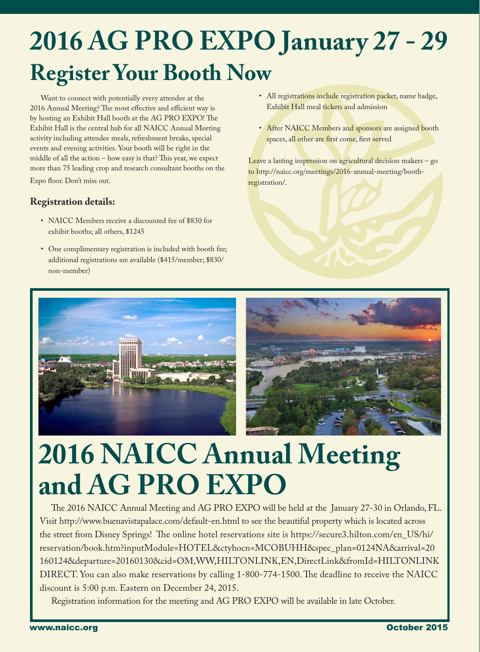# **2016 AG PRO EXPO January 27 - 29 Register Your Booth Now**

Want to connect with potentially every attendee at the 2016 Annual Meeting? The most effective and efficient way is by hosting an Exhibit Hall booth at the AG PRO EXPO! The Exhibit Hall is the central hub for all NAICC Annual Meeting activity including attendee meals, refreshment breaks, special events and evening activities. Your booth will be right in the middle of all the action – how easy is that? This year, we expect more than 75 leading crop and research consultant booths on the Expo floor. Don't miss out.

#### **Registration details:**

- NAICC Members receive a discounted fee of \$830 for exhibit booths; all others, \$1245
- One complimentary registration is included with booth fee; additional registrations are available (\$415/member; \$830/ non-member)
- All registrations include registration packet, name badge, Exhibit Hall meal tickets and admission
- After NAICC Members and sponsors are assigned booth spaces, all other are first come, first served

Leave a lasting impression on agricultural decision makers – go to http://naicc.org/meetings/2016-annual-meeting/boothregistration/.



# **2016 NAICC Annual Meeting and AG PRO EXPO**

The 2016 NAICC Annual Meeting and AG PRO EXPO will be held at the January 27-30 in Orlando, FL. Visit http://www.buenavistapalace.com/default-en.html to see the beautiful property which is located across the street from Disney Springs! The online hotel reservations site is https://secure3.hilton.com/en\_US/hi/ reservation/book.htm?inputModule=HOTEL&ctyhocn=MCOBUHH&spec\_plan=0124NA&arrival=20 160124&departure=20160130&cid=OM,WW,HILTONLINK,EN,DirectLink&fromId=HILTONLINK DIRECT. You can also make reservations by calling 1-800-774-1500. The deadline to receive the NAICC discount is 5:00 p.m. Eastern on December 24, 2015.

Registration information for the meeting and AG PRO EXPO will be available in late October.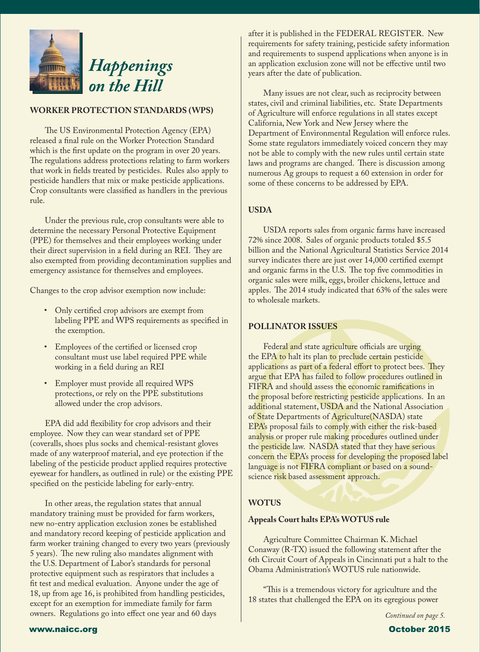

#### **WORKER PROTECTION STANDARDS (WPS)**

The US Environmental Protection Agency (EPA) released a final rule on the Worker Protection Standard which is the first update on the program in over 20 years. The regulations address protections relating to farm workers that work in fields treated by pesticides. Rules also apply to pesticide handlers that mix or make pesticide applications. Crop consultants were classified as handlers in the previous rule.

Under the previous rule, crop consultants were able to determine the necessary Personal Protective Equipment (PPE) for themselves and their employees working under their direct supervision in a field during an REI. They are also exempted from providing decontamination supplies and emergency assistance for themselves and employees.

Changes to the crop advisor exemption now include:

- Only certified crop advisors are exempt from labeling PPE and WPS requirements as specified in the exemption.
- Employees of the certified or licensed crop consultant must use label required PPE while working in a field during an REI
- Employer must provide all required WPS protections, or rely on the PPE substitutions allowed under the crop advisors.

EPA did add flexibility for crop advisors and their employee. Now they can wear standard set of PPE (coveralls, shoes plus socks and chemical-resistant gloves made of any waterproof material, and eye protection if the labeling of the pesticide product applied requires protective eyewear for handlers, as outlined in rule) or the existing PPE specified on the pesticide labeling for early-entry.

In other areas, the regulation states that annual mandatory training must be provided for farm workers, new no-entry application exclusion zones be established and mandatory record keeping of pesticide application and farm worker training changed to every two years (previously 5 years). The new ruling also mandates alignment with the U.S. Department of Labor's standards for personal protective equipment such as respirators that includes a fit test and medical evaluation. Anyone under the age of 18, up from age 16, is prohibited from handling pesticides, except for an exemption for immediate family for farm owners. Regulations go into effect one year and 60 days

after it is published in the FEDERAL REGISTER. New requirements for safety training, pesticide safety information and requirements to suspend applications when anyone is in an application exclusion zone will not be effective until two years after the date of publication.

Many issues are not clear, such as reciprocity between states, civil and criminal liabilities, etc. State Departments of Agriculture will enforce regulations in all states except California, New York and New Jersey where the Department of Environmental Regulation will enforce rules. Some state regulators immediately voiced concern they may not be able to comply with the new rules until certain state laws and programs are changed. There is discussion among numerous Ag groups to request a 60 extension in order for some of these concerns to be addressed by EPA.

#### **USDA**

USDA reports sales from organic farms have increased 72% since 2008. Sales of organic products totaled \$5.5 billion and the National Agricultural Statistics Service 2014 survey indicates there are just over 14,000 certified exempt and organic farms in the U.S. The top five commodities in organic sales were milk, eggs, broiler chickens, lettuce and apples. The 2014 study indicated that 63% of the sales were to wholesale markets.

#### **POLLINATOR ISSUES**

Federal and state agriculture officials are urging the EPA to halt its plan to preclude certain pesticide applications as part of a federal effort to protect bees. They argue that EPA has failed to follow procedures outlined in FIFRA and should assess the economic ramifications in the proposal before restricting pesticide applications. In an additional statement, USDA and the National Association of State Departments of Agriculture (NASDA) state EPA's proposal fails to comply with either the risk-based analysis or proper rule making procedures outlined under the pesticide law. NASDA stated that they have serious concern the EPA's process for developing the proposed label language is not FIFRA compliant or based on a soundscience risk based assessment approach.

#### **WOTUS**

#### **Appeals Court halts EPA's WOTUS rule**

Agriculture Committee Chairman K. Michael Conaway (R-TX) issued the following statement after the 6th Circuit Court of Appeals in Cincinnati put a halt to the Obama Administration's WOTUS rule nationwide.

"This is a tremendous victory for agriculture and the 18 states that challenged the EPA on its egregious power

*Continued on page 5.*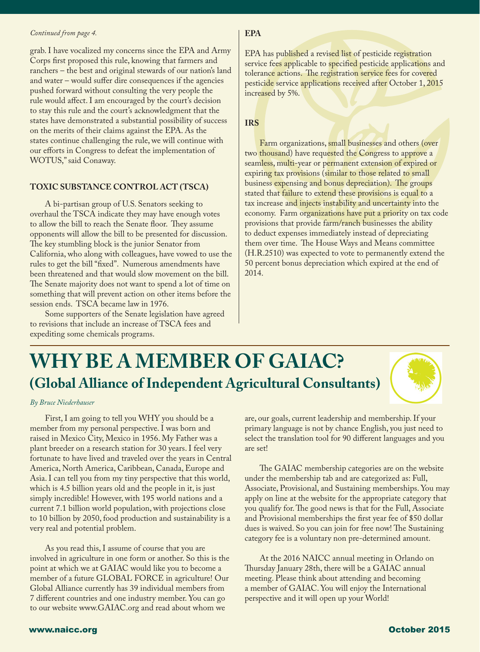#### *Continued from page 4.*

l

grab. I have vocalized my concerns since the EPA and Army Corps first proposed this rule, knowing that farmers and ranchers – the best and original stewards of our nation's land and water – would suffer dire consequences if the agencies pushed forward without consulting the very people the rule would affect. I am encouraged by the court's decision to stay this rule and the court's acknowledgment that the states have demonstrated a substantial possibility of success on the merits of their claims against the EPA. As the states continue challenging the rule, we will continue with our efforts in Congress to defeat the implementation of WOTUS," said Conaway.

#### **TOXIC SUBSTANCE CONTROL ACT (TSCA)**

A bi-partisan group of U.S. Senators seeking to overhaul the TSCA indicate they may have enough votes to allow the bill to reach the Senate floor. They assume opponents will allow the bill to be presented for discussion. The key stumbling block is the junior Senator from California, who along with colleagues, have vowed to use the rules to get the bill "fixed". Numerous amendments have been threatened and that would slow movement on the bill. The Senate majority does not want to spend a lot of time on something that will prevent action on other items before the session ends. TSCA became law in 1976.

Some supporters of the Senate legislation have agreed to revisions that include an increase of TSCA fees and expediting some chemicals programs.

#### **EPA**

EPA has published a revised list of pesticide registration service fees applicable to specified pesticide applications and tolerance actions. The registration service fees for covered pesticide service applications received after October 1, 2015 increased by 5%.

#### **IRS**

Farm organizations, small businesses and others (over two thousand) have requested the Congress to approve a seamless, multi-year or permanent extension of expired or expiring tax provisions (similar to those related to small business expensing and bonus depreciation). The groups stated that failure to extend these provisions is equal to a tax increase and injects instability and uncertainty into the economy. Farm organizations have put a priority on tax code provisions that provide farm/ranch businesses the ability to deduct expenses immediately instead of depreciating them over time. The House Ways and Means committee (H.R.2510) was expected to vote to permanently extend the 50 percent bonus depreciation which expired at the end of 2014.

## **WHY BE A MEMBER OF GAIAC? (Global Alliance of Independent Agricultural Consultants)**

#### *By Bruce Niederhauser*

First, I am going to tell you WHY you should be a member from my personal perspective. I was born and raised in Mexico City, Mexico in 1956. My Father was a plant breeder on a research station for 30 years. I feel very fortunate to have lived and traveled over the years in Central America, North America, Caribbean, Canada, Europe and Asia. I can tell you from my tiny perspective that this world, which is 4.5 billion years old and the people in it, is just simply incredible! However, with 195 world nations and a current 7.1 billion world population, with projections close to 10 billion by 2050, food production and sustainability is a very real and potential problem.

As you read this, I assume of course that you are involved in agriculture in one form or another. So this is the point at which we at GAIAC would like you to become a member of a future GLOBAL FORCE in agriculture! Our Global Alliance currently has 39 individual members from 7 different countries and one industry member. You can go to our website www.GAIAC.org and read about whom we

are, our goals, current leadership and membership. If your primary language is not by chance English, you just need to select the translation tool for 90 different languages and you are set!

The GAIAC membership categories are on the website under the membership tab and are categorized as: Full, Associate, Provisional, and Sustaining memberships. You may apply on line at the website for the appropriate category that you qualify for. The good news is that for the Full, Associate and Provisional memberships the first year fee of \$50 dollar dues is waived. So you can join for free now! The Sustaining category fee is a voluntary non pre-determined amount.

At the 2016 NAICC annual meeting in Orlando on Thursday January 28th, there will be a GAIAC annual meeting. Please think about attending and becoming a member of GAIAC. You will enjoy the International perspective and it will open up your World!